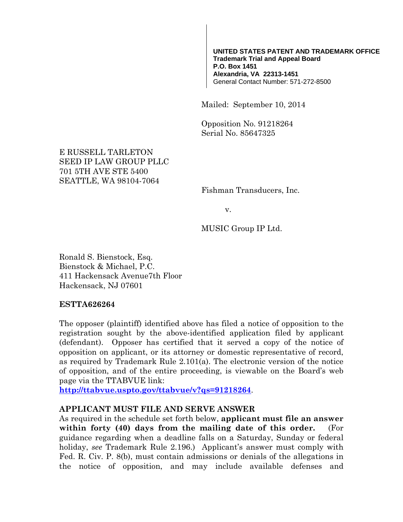#### **UNITED STATES PATENT AND TRADEMARK OFFICE Trademark Trial and Appeal Board P.O. Box 1451 Alexandria, VA 22313-1451** General Contact Number: 571-272-8500

Mailed: September 10, 2014

Opposition No. 91218264 Serial No. 85647325

#### E RUSSELL TARLETON SEED IP LAW GROUP PLLC 701 5TH AVE STE 5400 SEATTLE, WA 98104-7064

Fishman Transducers, Inc.

v.

MUSIC Group IP Ltd.

Ronald S. Bienstock, Esq. Bienstock & Michael, P.C. 411 Hackensack Avenue7th Floor Hackensack, NJ 07601

#### **ESTTA626264**

The opposer (plaintiff) identified above has filed a notice of opposition to the registration sought by the above-identified application filed by applicant (defendant). Opposer has certified that it served a copy of the notice of opposition on applicant, or its attorney or domestic representative of record, as required by Trademark Rule 2.101(a). The electronic version of the notice of opposition, and of the entire proceeding, is viewable on the Board's web page via the TTABVUE link:

**http://ttabvue.uspto.gov/ttabvue/v?qs=91218264**.

#### **APPLICANT MUST FILE AND SERVE ANSWER**

As required in the schedule set forth below, **applicant must file an answer within forty (40) days from the mailing date of this order.** (For guidance regarding when a deadline falls on a Saturday, Sunday or federal holiday, *see* Trademark Rule 2.196.) Applicant's answer must comply with Fed. R. Civ. P. 8(b), must contain admissions or denials of the allegations in the notice of opposition, and may include available defenses and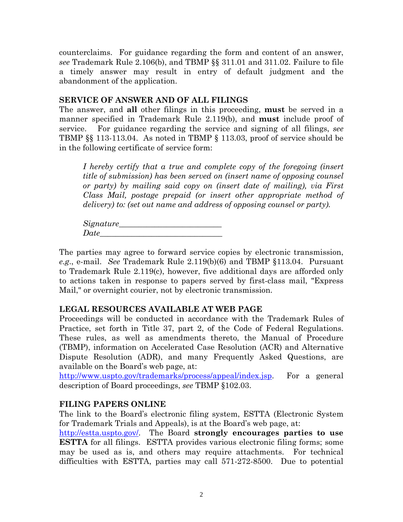counterclaims. For guidance regarding the form and content of an answer, *see* Trademark Rule 2.106(b), and TBMP §§ 311.01 and 311.02. Failure to file a timely answer may result in entry of default judgment and the abandonment of the application.

#### **SERVICE OF ANSWER AND OF ALL FILINGS**

The answer, and **all** other filings in this proceeding, **must** be served in a manner specified in Trademark Rule 2.119(b), and **must** include proof of service. For guidance regarding the service and signing of all filings, *see* TBMP §§ 113-113.04. As noted in TBMP § 113.03, proof of service should be in the following certificate of service form:

*I hereby certify that a true and complete copy of the foregoing (insert title of submission) has been served on (insert name of opposing counsel or party) by mailing said copy on (insert date of mailing), via First Class Mail, postage prepaid (or insert other appropriate method of delivery) to: (set out name and address of opposing counsel or party).* 

*Signature\_\_\_\_\_\_\_\_\_\_\_\_\_\_\_\_\_\_\_\_\_\_\_\_\_\_ Date\_\_\_\_\_\_\_\_\_\_\_\_\_\_\_\_\_\_\_\_\_\_\_\_\_\_\_\_\_\_\_* 

The parties may agree to forward service copies by electronic transmission, *e.g*., e-mail. *See* Trademark Rule 2.119(b)(6) and TBMP §113.04. Pursuant to Trademark Rule 2.119(c), however, five additional days are afforded only to actions taken in response to papers served by first-class mail, "Express Mail," or overnight courier, not by electronic transmission.

# **LEGAL RESOURCES AVAILABLE AT WEB PAGE**

Proceedings will be conducted in accordance with the Trademark Rules of Practice, set forth in Title 37, part 2, of the Code of Federal Regulations. These rules, as well as amendments thereto, the Manual of Procedure (TBMP), information on Accelerated Case Resolution (ACR) and Alternative Dispute Resolution (ADR), and many Frequently Asked Questions, are available on the Board's web page, at:

http://www.uspto.gov/trademarks/process/appeal/index.jsp. For a general description of Board proceedings, *see* TBMP §102.03.

# **FILING PAPERS ONLINE**

The link to the Board's electronic filing system, ESTTA (Electronic System for Trademark Trials and Appeals), is at the Board's web page, at:

http://estta.uspto.gov/. The Board **strongly encourages parties to use ESTTA** for all filings. ESTTA provides various electronic filing forms; some may be used as is, and others may require attachments. For technical difficulties with ESTTA, parties may call 571-272-8500. Due to potential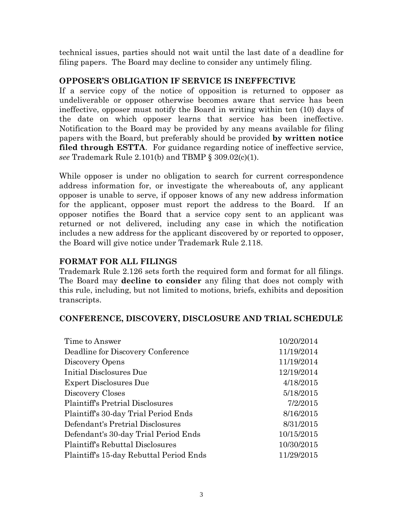technical issues, parties should not wait until the last date of a deadline for filing papers. The Board may decline to consider any untimely filing.

# **OPPOSER'S OBLIGATION IF SERVICE IS INEFFECTIVE**

If a service copy of the notice of opposition is returned to opposer as undeliverable or opposer otherwise becomes aware that service has been ineffective, opposer must notify the Board in writing within ten (10) days of the date on which opposer learns that service has been ineffective. Notification to the Board may be provided by any means available for filing papers with the Board, but preferably should be provided **by written notice filed through ESTTA**. For guidance regarding notice of ineffective service, *see* Trademark Rule 2.101(b) and TBMP § 309.02(c)(1).

While opposer is under no obligation to search for current correspondence address information for, or investigate the whereabouts of, any applicant opposer is unable to serve, if opposer knows of any new address information for the applicant, opposer must report the address to the Board. If an opposer notifies the Board that a service copy sent to an applicant was returned or not delivered, including any case in which the notification includes a new address for the applicant discovered by or reported to opposer, the Board will give notice under Trademark Rule 2.118.

# **FORMAT FOR ALL FILINGS**

Trademark Rule 2.126 sets forth the required form and format for all filings. The Board may **decline to consider** any filing that does not comply with this rule, including, but not limited to motions, briefs, exhibits and deposition transcripts.

# **CONFERENCE, DISCOVERY, DISCLOSURE AND TRIAL SCHEDULE**

| Time to Answer                          | 10/20/2014 |
|-----------------------------------------|------------|
| Deadline for Discovery Conference       | 11/19/2014 |
| Discovery Opens                         | 11/19/2014 |
| Initial Disclosures Due                 | 12/19/2014 |
| <b>Expert Disclosures Due</b>           | 4/18/2015  |
| Discovery Closes                        | 5/18/2015  |
| <b>Plaintiff's Pretrial Disclosures</b> | 7/2/2015   |
| Plaintiff's 30-day Trial Period Ends    | 8/16/2015  |
| Defendant's Pretrial Disclosures        | 8/31/2015  |
| Defendant's 30-day Trial Period Ends    | 10/15/2015 |
| Plaintiff's Rebuttal Disclosures        | 10/30/2015 |
| Plaintiff's 15-day Rebuttal Period Ends | 11/29/2015 |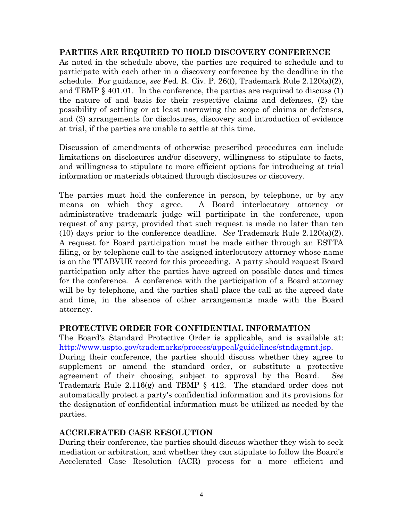#### **PARTIES ARE REQUIRED TO HOLD DISCOVERY CONFERENCE**

As noted in the schedule above, the parties are required to schedule and to participate with each other in a discovery conference by the deadline in the schedule. For guidance, *see* Fed. R. Civ. P. 26(f), Trademark Rule 2.120(a)(2), and TBMP § 401.01. In the conference, the parties are required to discuss (1) the nature of and basis for their respective claims and defenses, (2) the possibility of settling or at least narrowing the scope of claims or defenses, and (3) arrangements for disclosures, discovery and introduction of evidence at trial, if the parties are unable to settle at this time.

Discussion of amendments of otherwise prescribed procedures can include limitations on disclosures and/or discovery, willingness to stipulate to facts, and willingness to stipulate to more efficient options for introducing at trial information or materials obtained through disclosures or discovery.

The parties must hold the conference in person, by telephone, or by any means on which they agree. A Board interlocutory attorney or administrative trademark judge will participate in the conference, upon request of any party, provided that such request is made no later than ten (10) days prior to the conference deadline. *See* Trademark Rule 2.120(a)(2). A request for Board participation must be made either through an ESTTA filing, or by telephone call to the assigned interlocutory attorney whose name is on the TTABVUE record for this proceeding. A party should request Board participation only after the parties have agreed on possible dates and times for the conference. A conference with the participation of a Board attorney will be by telephone, and the parties shall place the call at the agreed date and time, in the absence of other arrangements made with the Board attorney.

#### **PROTECTIVE ORDER FOR CONFIDENTIAL INFORMATION**

The Board's Standard Protective Order is applicable, and is available at: http://www.uspto.gov/trademarks/process/appeal/guidelines/stndagmnt.jsp.

During their conference, the parties should discuss whether they agree to supplement or amend the standard order, or substitute a protective agreement of their choosing, subject to approval by the Board. *See* Trademark Rule 2.116(g) and TBMP § 412. The standard order does not automatically protect a party's confidential information and its provisions for the designation of confidential information must be utilized as needed by the parties.

# **ACCELERATED CASE RESOLUTION**

During their conference, the parties should discuss whether they wish to seek mediation or arbitration, and whether they can stipulate to follow the Board's Accelerated Case Resolution (ACR) process for a more efficient and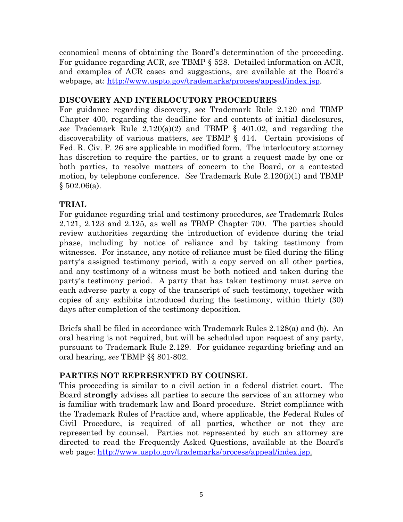economical means of obtaining the Board's determination of the proceeding. For guidance regarding ACR, *see* TBMP § 528. Detailed information on ACR, and examples of ACR cases and suggestions, are available at the Board's webpage, at: http://www.uspto.gov/trademarks/process/appeal/index.jsp.

# **DISCOVERY AND INTERLOCUTORY PROCEDURES**

For guidance regarding discovery, *see* Trademark Rule 2.120 and TBMP Chapter 400, regarding the deadline for and contents of initial disclosures, *see* Trademark Rule 2.120(a)(2) and TBMP § 401.02, and regarding the discoverability of various matters, *see* TBMP § 414. Certain provisions of Fed. R. Civ. P. 26 are applicable in modified form. The interlocutory attorney has discretion to require the parties, or to grant a request made by one or both parties, to resolve matters of concern to the Board, or a contested motion, by telephone conference. *See* Trademark Rule 2.120(i)(1) and TBMP  $§ 502.06(a).$ 

# **TRIAL**

For guidance regarding trial and testimony procedures, *see* Trademark Rules 2.121, 2.123 and 2.125, as well as TBMP Chapter 700. The parties should review authorities regarding the introduction of evidence during the trial phase, including by notice of reliance and by taking testimony from witnesses. For instance, any notice of reliance must be filed during the filing party's assigned testimony period, with a copy served on all other parties, and any testimony of a witness must be both noticed and taken during the party's testimony period. A party that has taken testimony must serve on each adverse party a copy of the transcript of such testimony, together with copies of any exhibits introduced during the testimony, within thirty (30) days after completion of the testimony deposition.

Briefs shall be filed in accordance with Trademark Rules 2.128(a) and (b). An oral hearing is not required, but will be scheduled upon request of any party, pursuant to Trademark Rule 2.129. For guidance regarding briefing and an oral hearing, *see* TBMP §§ 801-802.

# **PARTIES NOT REPRESENTED BY COUNSEL**

This proceeding is similar to a civil action in a federal district court.The Board **strongly** advises all parties to secure the services of an attorney who is familiar with trademark law and Board procedure. Strict compliance with the Trademark Rules of Practice and, where applicable, the Federal Rules of Civil Procedure, is required of all parties, whether or not they are represented by counsel. Parties not represented by such an attorney are directed to read the Frequently Asked Questions, available at the Board's web page: http://www.uspto.gov/trademarks/process/appeal/index.jsp.